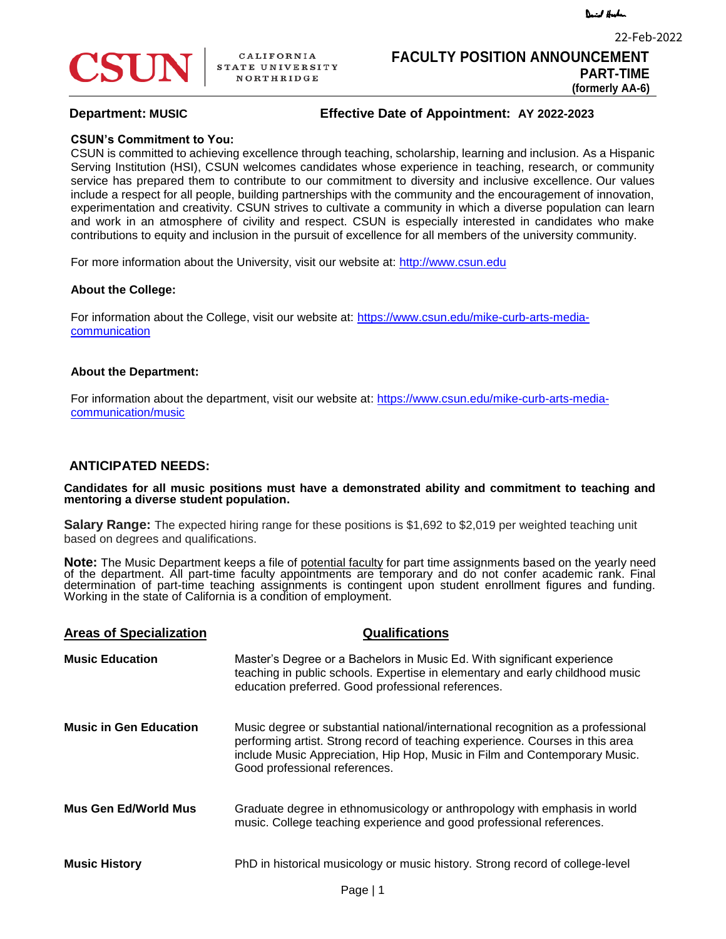

22-Feb-2022



# **Department: MUSIC Effective Date of Appointment: AY 2022-2023**

## **CSUN's Commitment to You:**

CSUN is committed to achieving excellence through teaching, scholarship, learning and inclusion. As a Hispanic Serving Institution (HSI), CSUN welcomes candidates whose experience in teaching, research, or community service has prepared them to contribute to our commitment to diversity and inclusive excellence. Our values include a respect for all people, building partnerships with the community and the encouragement of innovation, experimentation and creativity. CSUN strives to cultivate a community in which a diverse population can learn and work in an atmosphere of civility and respect. CSUN is especially interested in candidates who make contributions to equity and inclusion in the pursuit of excellence for all members of the university community.

For more information about the University, visit our website at: http://www.csun.edu

#### **About the College:**

For information about the College, visit our website at: https://www.csun.edu/mike-curb-arts-mediacommunication

#### **About the Department:**

For information about the department, visit our website at: https://www.csun.edu/mike-curb-arts-mediacommunication/music

# **ANTICIPATED NEEDS:**

**Candidates for all music positions must have a demonstrated ability and commitment to teaching and mentoring a diverse student population.**

**Salary Range:** The expected hiring range for these positions is \$1,692 to \$2,019 per weighted teaching unit based on degrees and qualifications.

**Note:** The Music Department keeps a file of potential faculty for part time assignments based on the yearly need of the department. All part-time faculty appointments are temporary and do not confer academic rank. Final determination of part-time teaching assignments is contingent upon student enrollment figures and funding. Working in the state of California is a condition of employment.

| <b>Areas of Specialization</b> | <b>Qualifications</b>                                                                                                                                                                                                                                                            |
|--------------------------------|----------------------------------------------------------------------------------------------------------------------------------------------------------------------------------------------------------------------------------------------------------------------------------|
| <b>Music Education</b>         | Master's Degree or a Bachelors in Music Ed. With significant experience<br>teaching in public schools. Expertise in elementary and early childhood music<br>education preferred. Good professional references.                                                                   |
| <b>Music in Gen Education</b>  | Music degree or substantial national/international recognition as a professional<br>performing artist. Strong record of teaching experience. Courses in this area<br>include Music Appreciation, Hip Hop, Music in Film and Contemporary Music.<br>Good professional references. |
| Mus Gen Ed/World Mus           | Graduate degree in ethnomusicology or anthropology with emphasis in world<br>music. College teaching experience and good professional references.                                                                                                                                |
| <b>Music History</b>           | PhD in historical musicology or music history. Strong record of college-level                                                                                                                                                                                                    |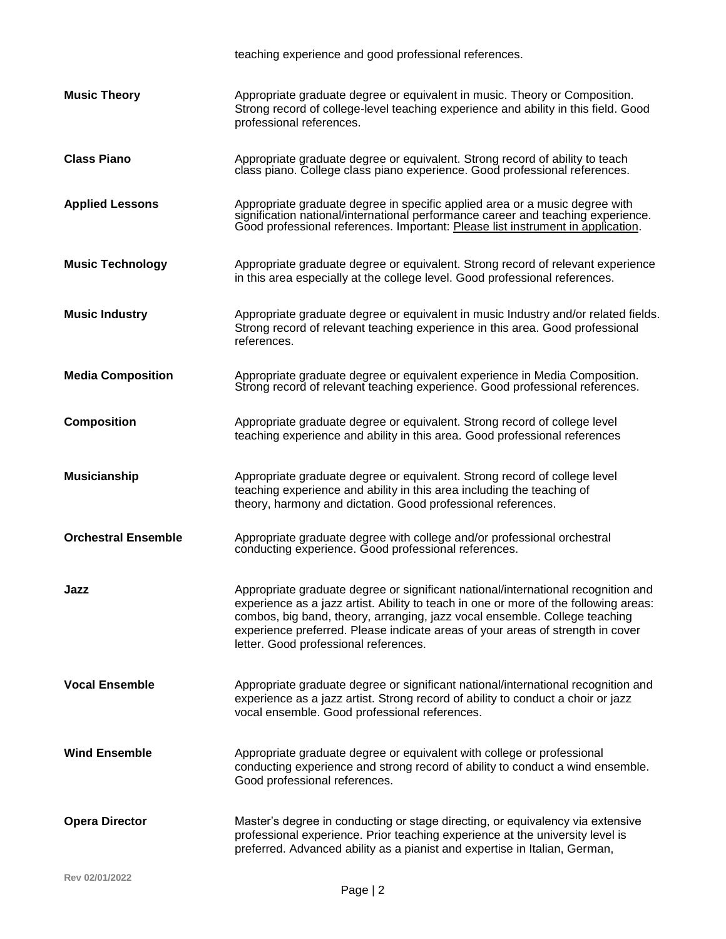|                            | teaching experience and good professional references.                                                                                                                                                                                                                                                                                                                              |
|----------------------------|------------------------------------------------------------------------------------------------------------------------------------------------------------------------------------------------------------------------------------------------------------------------------------------------------------------------------------------------------------------------------------|
| <b>Music Theory</b>        | Appropriate graduate degree or equivalent in music. Theory or Composition.<br>Strong record of college-level teaching experience and ability in this field. Good<br>professional references.                                                                                                                                                                                       |
| <b>Class Piano</b>         | Appropriate graduate degree or equivalent. Strong record of ability to teach<br>class piano. College class piano experience. Good professional references.                                                                                                                                                                                                                         |
| <b>Applied Lessons</b>     | Appropriate graduate degree in specific applied area or a music degree with<br>signification national/international performance career and teaching experience.<br>Good professional references. Important: Please list instrument in application.                                                                                                                                 |
| <b>Music Technology</b>    | Appropriate graduate degree or equivalent. Strong record of relevant experience<br>in this area especially at the college level. Good professional references.                                                                                                                                                                                                                     |
| <b>Music Industry</b>      | Appropriate graduate degree or equivalent in music Industry and/or related fields.<br>Strong record of relevant teaching experience in this area. Good professional<br>references.                                                                                                                                                                                                 |
| <b>Media Composition</b>   | Appropriate graduate degree or equivalent experience in Media Composition.<br>Strong record of relevant teaching experience. Good professional references.                                                                                                                                                                                                                         |
| <b>Composition</b>         | Appropriate graduate degree or equivalent. Strong record of college level<br>teaching experience and ability in this area. Good professional references                                                                                                                                                                                                                            |
| <b>Musicianship</b>        | Appropriate graduate degree or equivalent. Strong record of college level<br>teaching experience and ability in this area including the teaching of<br>theory, harmony and dictation. Good professional references.                                                                                                                                                                |
| <b>Orchestral Ensemble</b> | Appropriate graduate degree with college and/or professional orchestral<br>conducting experience. Good professional references.                                                                                                                                                                                                                                                    |
| Jazz                       | Appropriate graduate degree or significant national/international recognition and<br>experience as a jazz artist. Ability to teach in one or more of the following areas:<br>combos, big band, theory, arranging, jazz vocal ensemble. College teaching<br>experience preferred. Please indicate areas of your areas of strength in cover<br>letter. Good professional references. |
| <b>Vocal Ensemble</b>      | Appropriate graduate degree or significant national/international recognition and<br>experience as a jazz artist. Strong record of ability to conduct a choir or jazz<br>vocal ensemble. Good professional references.                                                                                                                                                             |
| <b>Wind Ensemble</b>       | Appropriate graduate degree or equivalent with college or professional<br>conducting experience and strong record of ability to conduct a wind ensemble.<br>Good professional references.                                                                                                                                                                                          |
| <b>Opera Director</b>      | Master's degree in conducting or stage directing, or equivalency via extensive<br>professional experience. Prior teaching experience at the university level is<br>preferred. Advanced ability as a pianist and expertise in Italian, German,                                                                                                                                      |